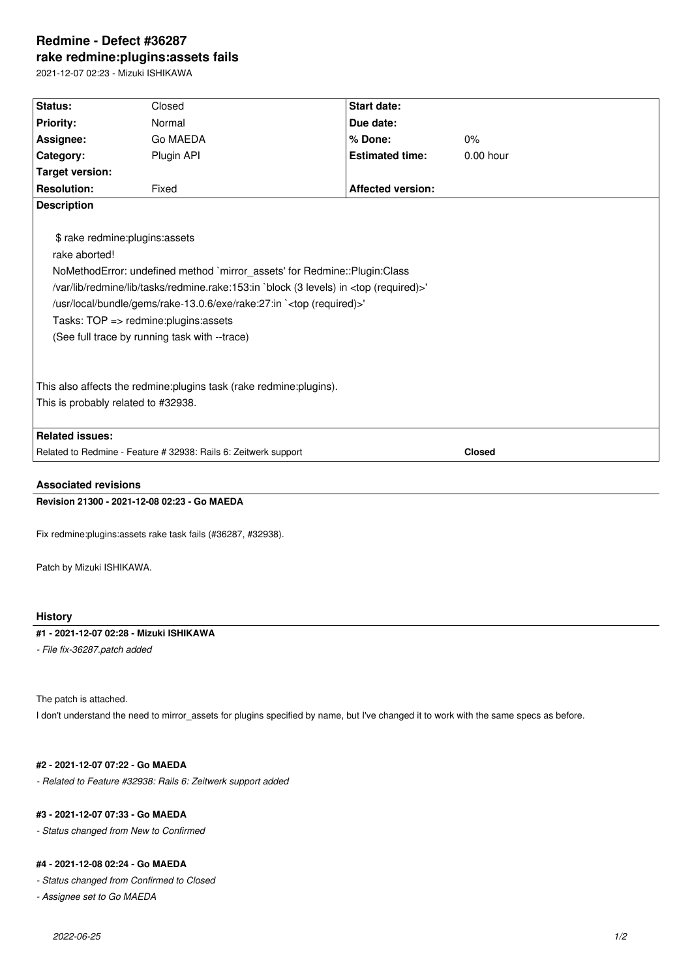# **Redmine - Defect #36287 rake redmine:plugins:assets fails**

2021-12-07 02:23 - Mizuki ISHIKAWA

| Status:                                                                                                                                                                                                                                                                                                                                                                                                          | Closed     | <b>Start date:</b>       |               |
|------------------------------------------------------------------------------------------------------------------------------------------------------------------------------------------------------------------------------------------------------------------------------------------------------------------------------------------------------------------------------------------------------------------|------------|--------------------------|---------------|
| <b>Priority:</b>                                                                                                                                                                                                                                                                                                                                                                                                 | Normal     | Due date:                |               |
| Assignee:                                                                                                                                                                                                                                                                                                                                                                                                        | Go MAEDA   | % Done:                  | 0%            |
| Category:                                                                                                                                                                                                                                                                                                                                                                                                        | Plugin API | <b>Estimated time:</b>   | $0.00$ hour   |
| <b>Target version:</b>                                                                                                                                                                                                                                                                                                                                                                                           |            |                          |               |
| <b>Resolution:</b>                                                                                                                                                                                                                                                                                                                                                                                               | Fixed      | <b>Affected version:</b> |               |
| <b>Description</b>                                                                                                                                                                                                                                                                                                                                                                                               |            |                          |               |
| \$ rake redmine: plugins: assets<br>rake aborted!<br>NoMethodError: undefined method `mirror_assets' for Redmine::Plugin:Class<br>/var/lib/redmine/lib/tasks/redmine.rake:153:in `block (3 levels) in <top (required)="">'<br/>/usr/local/bundle/gems/rake-13.0.6/exe/rake:27:in `<top (required)="">'<br/>Tasks: TOP =&gt; redmine:plugins:assets<br/>(See full trace by running task with --trace)</top></top> |            |                          |               |
| This also affects the redmine: plugins task (rake redmine: plugins).                                                                                                                                                                                                                                                                                                                                             |            |                          |               |
| This is probably related to #32938.                                                                                                                                                                                                                                                                                                                                                                              |            |                          |               |
|                                                                                                                                                                                                                                                                                                                                                                                                                  |            |                          |               |
| <b>Related issues:</b>                                                                                                                                                                                                                                                                                                                                                                                           |            |                          |               |
| Related to Redmine - Feature # 32938: Rails 6: Zeitwerk support                                                                                                                                                                                                                                                                                                                                                  |            |                          | <b>Closed</b> |
|                                                                                                                                                                                                                                                                                                                                                                                                                  |            |                          |               |

# **Associated revisions**

**Revision 21300 - 2021-12-08 02:23 - Go MAEDA**

Fix redmine:plugins:assets rake task fails (#36287, #32938).

Patch by Mizuki ISHIKAWA.

## **History**

### **#1 - 2021-12-07 02:28 - Mizuki ISHIKAWA**

*- File fix-36287.patch added*

The patch is attached.

I don't understand the need to mirror\_assets for plugins specified by name, but I've changed it to work with the same specs as before.

### **#2 - 2021-12-07 07:22 - Go MAEDA**

*- Related to Feature #32938: Rails 6: Zeitwerk support added*

#### **#3 - 2021-12-07 07:33 - Go MAEDA**

*- Status changed from New to Confirmed*

#### **#4 - 2021-12-08 02:24 - Go MAEDA**

*- Status changed from Confirmed to Closed*

*- Assignee set to Go MAEDA*